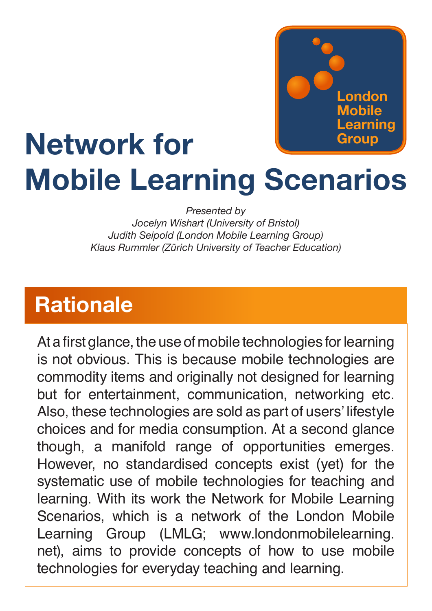

# **Network for Mobile Learning Scenarios**

*Presented by*

*Jocelyn Wishart (University of Bristol) Judith Seipold (London Mobile Learning Group) Klaus Rummler (Zürich University of Teacher Education)*

### **Rationale**

At a first glance, the use of mobile technologies for learning is not obvious. This is because mobile technologies are commodity items and originally not designed for learning but for entertainment, communication, networking etc. Also, these technologies are sold as part of users' lifestyle choices and for media consumption. At a second glance though, a manifold range of opportunities emerges. However, no standardised concepts exist (yet) for the systematic use of mobile technologies for teaching and learning. With its work the Network for Mobile Learning Scenarios, which is a network of the London Mobile Learning Group (LMLG; www.londonmobilelearning. net), aims to provide concepts of how to use mobile technologies for everyday teaching and learning.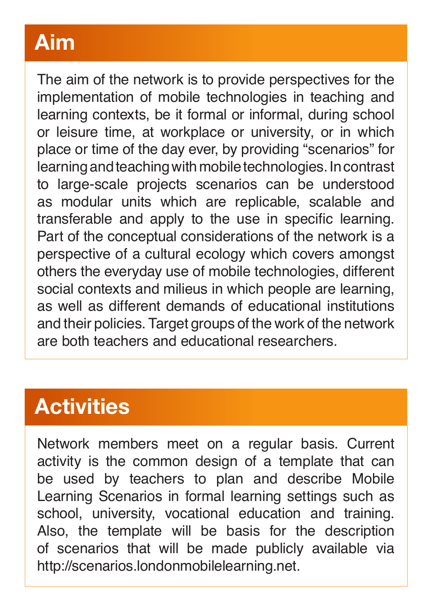# **Aim**

The aim of the network is to provide perspectives for the implementation of mobile technologies in teaching and learning contexts, be it formal or informal, during school or leisure time, at workplace or university, or in which place or time of the day ever, by providing "scenarios" for learning and teaching with mobile technologies. In contrast to large-scale projects scenarios can be understood as modular units which are replicable, scalable and transferable and apply to the use in specific learning. Part of the conceptual considerations of the network is a perspective of a cultural ecology which covers amongst others the everyday use of mobile technologies, different social contexts and milieus in which people are learning, as well as different demands of educational institutions and their policies. Target groups of the work of the network are both teachers and educational researchers.

### **Activities**

Network members meet on a regular basis. Current activity is the common design of a template that can be used by teachers to plan and describe Mobile Learning Scenarios in formal learning settings such as school, university, vocational education and training. Also, the template will be basis for the description of scenarios that will be made publicly available via http://scenarios.londonmobilelearning.net.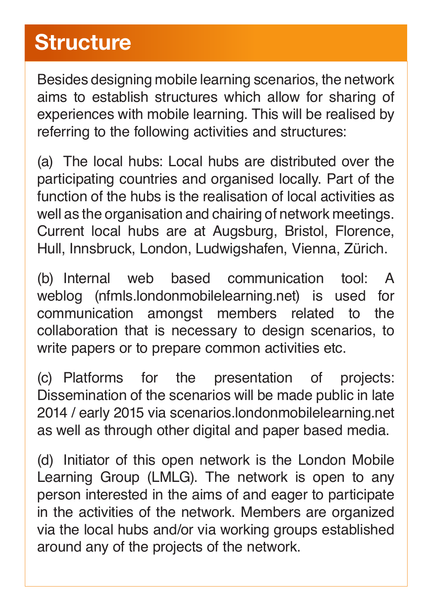## **Structure**

Besides designing mobile learning scenarios, the network aims to establish structures which allow for sharing of experiences with mobile learning. This will be realised by referring to the following activities and structures:

(a) The local hubs: Local hubs are distributed over the participating countries and organised locally. Part of the function of the hubs is the realisation of local activities as well as the organisation and chairing of network meetings. Current local hubs are at Augsburg, Bristol, Florence, Hull, Innsbruck, London, Ludwigshafen, Vienna, Zürich.

(b) Internal web based communication tool: A weblog (nfmls.londonmobilelearning.net) is used for communication amongst members related to the collaboration that is necessary to design scenarios, to write papers or to prepare common activities etc.

(c) Platforms for the presentation of projects: Dissemination of the scenarios will be made public in late 2014 / early 2015 via scenarios.londonmobilelearning.net as well as through other digital and paper based media.

(d) Initiator of this open network is the London Mobile Learning Group (LMLG). The network is open to any person interested in the aims of and eager to participate in the activities of the network. Members are organized via the local hubs and/or via working groups established around any of the projects of the network.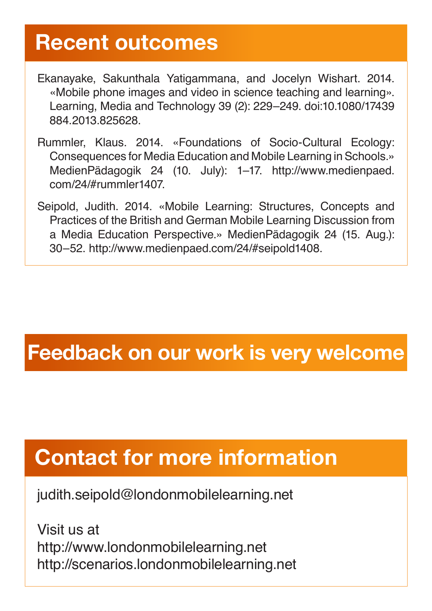#### **Recent outcomes**

- Ekanayake, Sakunthala Yatigammana, and Jocelyn Wishart. 2014. «Mobile phone images and video in science teaching and learning». Learning, Media and Technology 39 (2): 229–249. doi:10.1080/17439 884.2013.825628.
- Rummler, Klaus. 2014. «Foundations of Socio-Cultural Ecology: Consequences for Media Education and Mobile Learning in Schools.» MedienPädagogik 24 (10. July): 1–17. http://www.medienpaed. com/24/#rummler1407.
- Seipold, Judith. 2014. «Mobile Learning: Structures, Concepts and Practices of the British and German Mobile Learning Discussion from a Media Education Perspective.» MedienPädagogik 24 (15. Aug.): 30–52. http://www.medienpaed.com/24/#seipold1408.

### **Feedback on our work is very welcome**

# **Contact for more information**

judith.seipold@londonmobilelearning.net

Visit us at http://www.londonmobilelearning.net http://scenarios.londonmobilelearning.net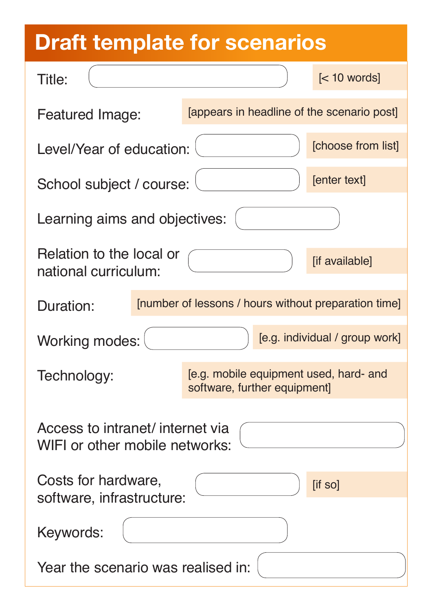# **Draft template for scenarios**

| Title:                                                             |                              |  | $\left[ < 10$ words]                                 |  |  |
|--------------------------------------------------------------------|------------------------------|--|------------------------------------------------------|--|--|
| Featured Image:                                                    |                              |  | [appears in headline of the scenario post]           |  |  |
| Level/Year of education:                                           |                              |  | [choose from list]                                   |  |  |
| School subject / course:                                           |                              |  | [enter text]                                         |  |  |
| Learning aims and objectives:                                      |                              |  |                                                      |  |  |
| Relation to the local or<br>national curriculum:                   |                              |  | [if available]                                       |  |  |
| Duration:                                                          |                              |  | [number of lessons / hours without preparation time] |  |  |
| <b>Working modes:</b>                                              |                              |  | [e.g. individual / group work]                       |  |  |
| Technology:                                                        | software, further equipment] |  | [e.g. mobile equipment used, hard- and               |  |  |
| Access to intranet/ internet via<br>WIFI or other mobile networks: |                              |  |                                                      |  |  |
| Costs for hardware,<br>[if so]<br>software, infrastructure:        |                              |  |                                                      |  |  |
| Keywords:                                                          |                              |  |                                                      |  |  |
| Year the scenario was realised in:                                 |                              |  |                                                      |  |  |